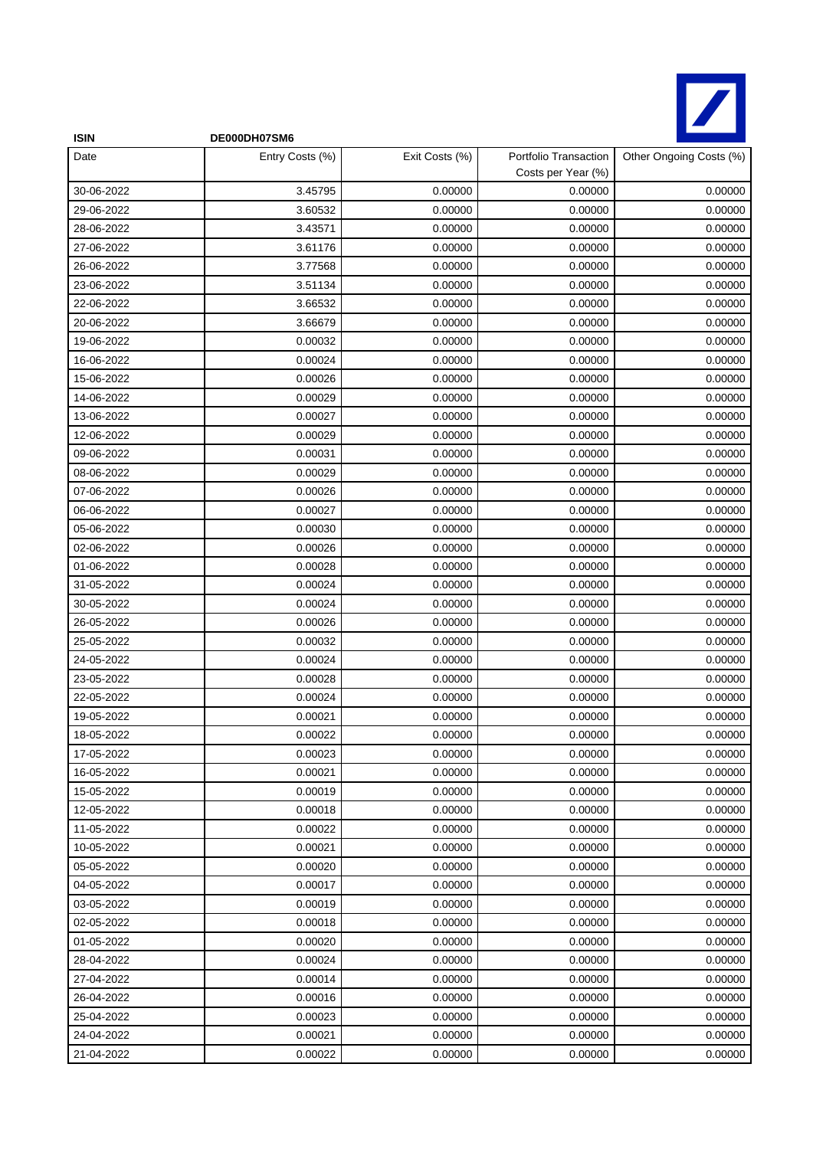

| <b>ISIN</b> | DE000DH07SM6    |                |                                             |                         |
|-------------|-----------------|----------------|---------------------------------------------|-------------------------|
| Date        | Entry Costs (%) | Exit Costs (%) | Portfolio Transaction<br>Costs per Year (%) | Other Ongoing Costs (%) |
| 30-06-2022  | 3.45795         | 0.00000        | 0.00000                                     | 0.00000                 |
| 29-06-2022  | 3.60532         | 0.00000        | 0.00000                                     | 0.00000                 |
| 28-06-2022  | 3.43571         | 0.00000        | 0.00000                                     | 0.00000                 |
| 27-06-2022  | 3.61176         | 0.00000        | 0.00000                                     | 0.00000                 |
| 26-06-2022  | 3.77568         | 0.00000        | 0.00000                                     | 0.00000                 |
| 23-06-2022  | 3.51134         | 0.00000        | 0.00000                                     | 0.00000                 |
| 22-06-2022  | 3.66532         | 0.00000        | 0.00000                                     | 0.00000                 |
| 20-06-2022  | 3.66679         | 0.00000        | 0.00000                                     | 0.00000                 |
| 19-06-2022  | 0.00032         | 0.00000        | 0.00000                                     | 0.00000                 |
| 16-06-2022  | 0.00024         | 0.00000        | 0.00000                                     | 0.00000                 |
| 15-06-2022  | 0.00026         | 0.00000        | 0.00000                                     | 0.00000                 |
| 14-06-2022  | 0.00029         | 0.00000        | 0.00000                                     | 0.00000                 |
| 13-06-2022  | 0.00027         | 0.00000        | 0.00000                                     | 0.00000                 |
| 12-06-2022  | 0.00029         | 0.00000        | 0.00000                                     | 0.00000                 |
| 09-06-2022  | 0.00031         | 0.00000        | 0.00000                                     | 0.00000                 |
| 08-06-2022  | 0.00029         | 0.00000        | 0.00000                                     | 0.00000                 |
| 07-06-2022  | 0.00026         | 0.00000        | 0.00000                                     | 0.00000                 |
| 06-06-2022  | 0.00027         | 0.00000        | 0.00000                                     | 0.00000                 |
| 05-06-2022  | 0.00030         | 0.00000        | 0.00000                                     | 0.00000                 |
| 02-06-2022  | 0.00026         | 0.00000        | 0.00000                                     | 0.00000                 |
| 01-06-2022  | 0.00028         | 0.00000        | 0.00000                                     | 0.00000                 |
| 31-05-2022  | 0.00024         | 0.00000        | 0.00000                                     | 0.00000                 |
| 30-05-2022  | 0.00024         | 0.00000        | 0.00000                                     | 0.00000                 |
| 26-05-2022  | 0.00026         | 0.00000        | 0.00000                                     | 0.00000                 |
| 25-05-2022  | 0.00032         | 0.00000        | 0.00000                                     | 0.00000                 |
| 24-05-2022  | 0.00024         | 0.00000        | 0.00000                                     | 0.00000                 |
| 23-05-2022  | 0.00028         | 0.00000        | 0.00000                                     | 0.00000                 |
| 22-05-2022  | 0.00024         | 0.00000        | 0.00000                                     | 0.00000                 |
| 19-05-2022  | 0.00021         | 0.00000        | 0.00000                                     | 0.00000                 |
| 18-05-2022  | 0.00022         | 0.00000        | 0.00000                                     | 0.00000                 |
| 17-05-2022  | 0.00023         | 0.00000        | 0.00000                                     | 0.00000                 |
| 16-05-2022  | 0.00021         | 0.00000        | 0.00000                                     | 0.00000                 |
| 15-05-2022  | 0.00019         | 0.00000        | 0.00000                                     | 0.00000                 |
| 12-05-2022  | 0.00018         | 0.00000        | 0.00000                                     | 0.00000                 |
| 11-05-2022  | 0.00022         | 0.00000        | 0.00000                                     | 0.00000                 |
| 10-05-2022  | 0.00021         | 0.00000        | 0.00000                                     | 0.00000                 |
| 05-05-2022  | 0.00020         | 0.00000        | 0.00000                                     | 0.00000                 |
| 04-05-2022  | 0.00017         | 0.00000        | 0.00000                                     | 0.00000                 |
| 03-05-2022  | 0.00019         | 0.00000        | 0.00000                                     | 0.00000                 |
| 02-05-2022  | 0.00018         | 0.00000        | 0.00000                                     | 0.00000                 |
| 01-05-2022  | 0.00020         | 0.00000        | 0.00000                                     | 0.00000                 |
| 28-04-2022  | 0.00024         | 0.00000        | 0.00000                                     | 0.00000                 |
| 27-04-2022  | 0.00014         | 0.00000        | 0.00000                                     | 0.00000                 |
| 26-04-2022  | 0.00016         | 0.00000        | 0.00000                                     | 0.00000                 |
| 25-04-2022  | 0.00023         | 0.00000        | 0.00000                                     | 0.00000                 |
| 24-04-2022  | 0.00021         | 0.00000        | 0.00000                                     | 0.00000                 |
| 21-04-2022  | 0.00022         | 0.00000        | 0.00000                                     | 0.00000                 |